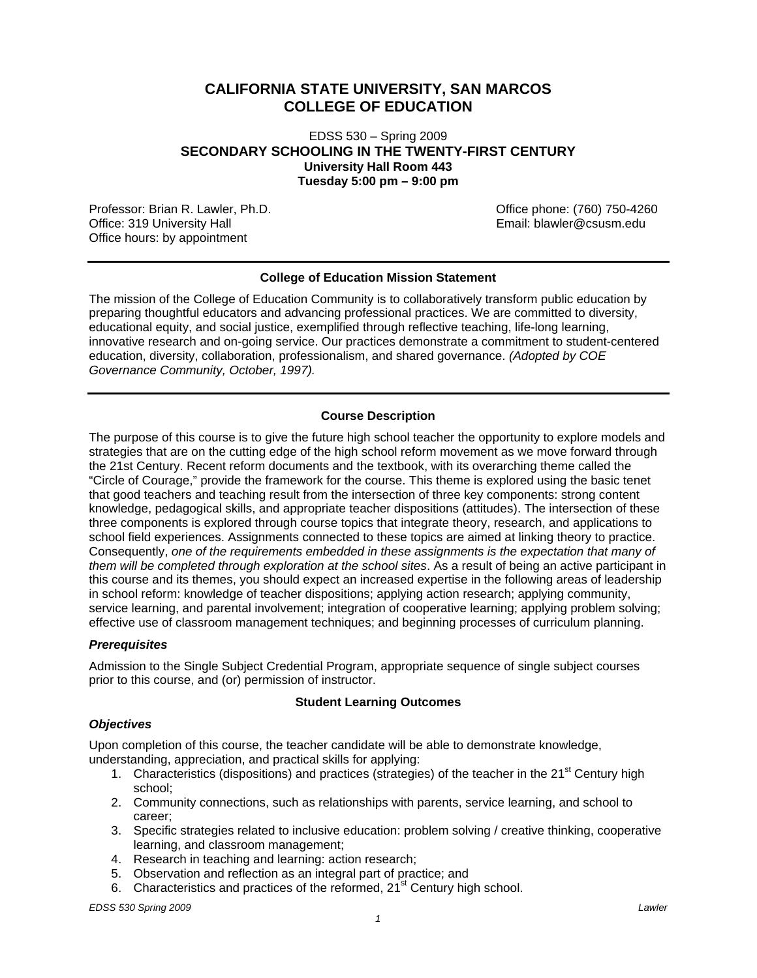# **CALIFORNIA STATE UNIVERSITY, SAN MARCOS COLLEGE OF EDUCATION**

# EDSS 530 – Spring 2009 **SECONDARY SCHOOLING IN THE TWENTY-FIRST CENTURY University Hall Room 443 Tuesday 5:00 pm – 9:00 pm**

Professor: Brian R. Lawler, Ph.D. Can be a metallic phone: (760) 750-4260<br>Office: 319 University Hall Discovery and the control of the mail: blawler@csusm.edu Office: 319 University Hall Office hours: by appointment

# **College of Education Mission Statement**

The mission of the College of Education Community is to collaboratively transform public education by preparing thoughtful educators and advancing professional practices. We are committed to diversity, educational equity, and social justice, exemplified through reflective teaching, life-long learning, innovative research and on-going service. Our practices demonstrate a commitment to student-centered education, diversity, collaboration, professionalism, and shared governance. *(Adopted by COE Governance Community, October, 1997).* 

# **Course Description**

The purpose of this course is to give the future high school teacher the opportunity to explore models and strategies that are on the cutting edge of the high school reform movement as we move forward through the 21st Century. Recent reform documents and the textbook, with its overarching theme called the "Circle of Courage," provide the framework for the course. This theme is explored using the basic tenet that good teachers and teaching result from the intersection of three key components: strong content knowledge, pedagogical skills, and appropriate teacher dispositions (attitudes). The intersection of these three components is explored through course topics that integrate theory, research, and applications to school field experiences. Assignments connected to these topics are aimed at linking theory to practice. Consequently, *one of the requirements embedded in these assignments is the expectation that many of them will be completed through exploration at the school sites*. As a result of being an active participant in this course and its themes, you should expect an increased expertise in the following areas of leadership in school reform: knowledge of teacher dispositions; applying action research; applying community, service learning, and parental involvement; integration of cooperative learning; applying problem solving; effective use of classroom management techniques; and beginning processes of curriculum planning.

# *Prerequisites*

Admission to the Single Subject Credential Program, appropriate sequence of single subject courses prior to this course, and (or) permission of instructor.

### **Student Learning Outcomes**

### *Objectives*

Upon completion of this course, the teacher candidate will be able to demonstrate knowledge, understanding, appreciation, and practical skills for applying:

- 1. Characteristics (dispositions) and practices (strategies) of the teacher in the 21<sup>st</sup> Century high school;
- 2. Community connections, such as relationships with parents, service learning, and school to career;
- 3. Specific strategies related to inclusive education: problem solving / creative thinking, cooperative learning, and classroom management;

*1* 

- 4. Research in teaching and learning: action research;
- 5. Observation and reflection as an integral part of practice; and
- 6. Characteristics and practices of the reformed, 21<sup>st</sup> Century high school.

*EDSS 530 Spring 2009 Lawler*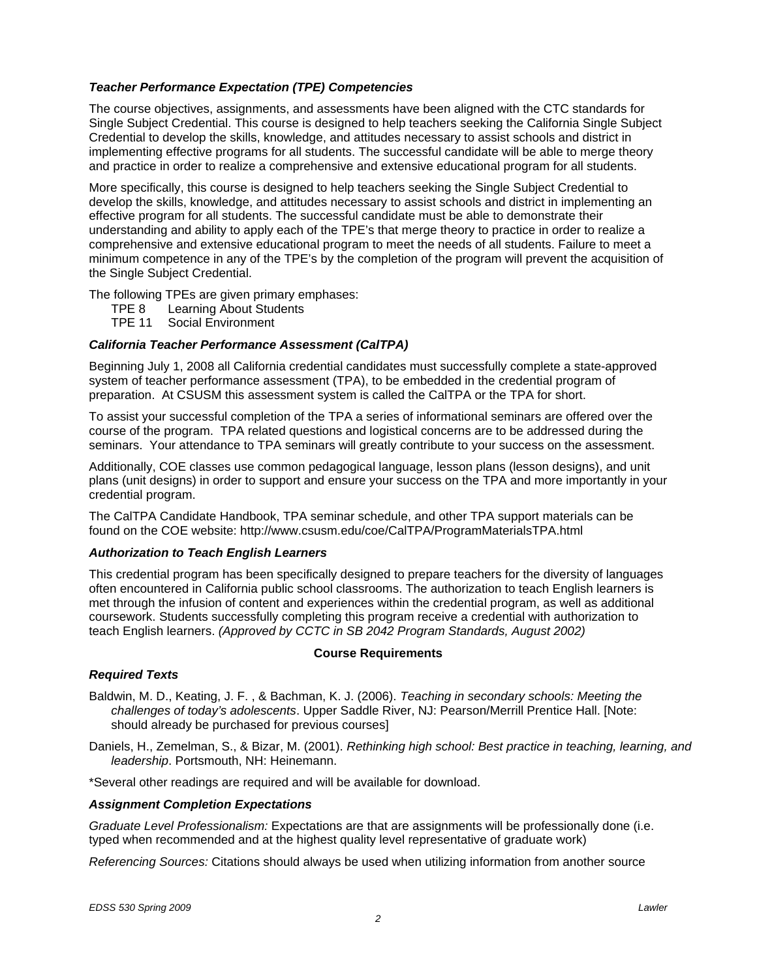# *Teacher Performance Expectation (TPE) Competencies*

The course objectives, assignments, and assessments have been aligned with the CTC standards for Single Subject Credential. This course is designed to help teachers seeking the California Single Subject Credential to develop the skills, knowledge, and attitudes necessary to assist schools and district in implementing effective programs for all students. The successful candidate will be able to merge theory and practice in order to realize a comprehensive and extensive educational program for all students.

More specifically, this course is designed to help teachers seeking the Single Subject Credential to develop the skills, knowledge, and attitudes necessary to assist schools and district in implementing an effective program for all students. The successful candidate must be able to demonstrate their understanding and ability to apply each of the TPE's that merge theory to practice in order to realize a comprehensive and extensive educational program to meet the needs of all students. Failure to meet a minimum competence in any of the TPE's by the completion of the program will prevent the acquisition of the Single Subject Credential.

The following TPEs are given primary emphases:

- TPE 8 Learning About Students
- TPE 11 Social Environment

# *California Teacher Performance Assessment (CalTPA)*

Beginning July 1, 2008 all California credential candidates must successfully complete a state-approved system of teacher performance assessment (TPA), to be embedded in the credential program of preparation. At CSUSM this assessment system is called the CalTPA or the TPA for short.

To assist your successful completion of the TPA a series of informational seminars are offered over the course of the program. TPA related questions and logistical concerns are to be addressed during the seminars. Your attendance to TPA seminars will greatly contribute to your success on the assessment.

Additionally, COE classes use common pedagogical language, lesson plans (lesson designs), and unit plans (unit designs) in order to support and ensure your success on the TPA and more importantly in your credential program.

The CalTPA Candidate Handbook, TPA seminar schedule, and other TPA support materials can be found on the COE website: http://www.csusm.edu/coe/CalTPA/ProgramMaterialsTPA.html

### *Authorization to Teach English Learners*

This credential program has been specifically designed to prepare teachers for the diversity of languages often encountered in California public school classrooms. The authorization to teach English learners is met through the infusion of content and experiences within the credential program, as well as additional coursework. Students successfully completing this program receive a credential with authorization to teach English learners. *(Approved by CCTC in SB 2042 Program Standards, August 2002)* 

### **Course Requirements**

### *Required Texts*

- Baldwin, M. D., Keating, J. F. , & Bachman, K. J. (2006). *Teaching in secondary schools: Meeting the challenges of today's adolescents*. Upper Saddle River, NJ: Pearson/Merrill Prentice Hall. [Note: should already be purchased for previous courses]
- Daniels, H., Zemelman, S., & Bizar, M. (2001). *Rethinking high school: Best practice in teaching, learning, and leadership*. Portsmouth, NH: Heinemann.

\*Several other readings are required and will be available for download.

### *Assignment Completion Expectations*

*Graduate Level Professionalism:* Expectations are that are assignments will be professionally done (i.e. typed when recommended and at the highest quality level representative of graduate work)

 *Referencing Sources:* Citations should always be used when utilizing information from another source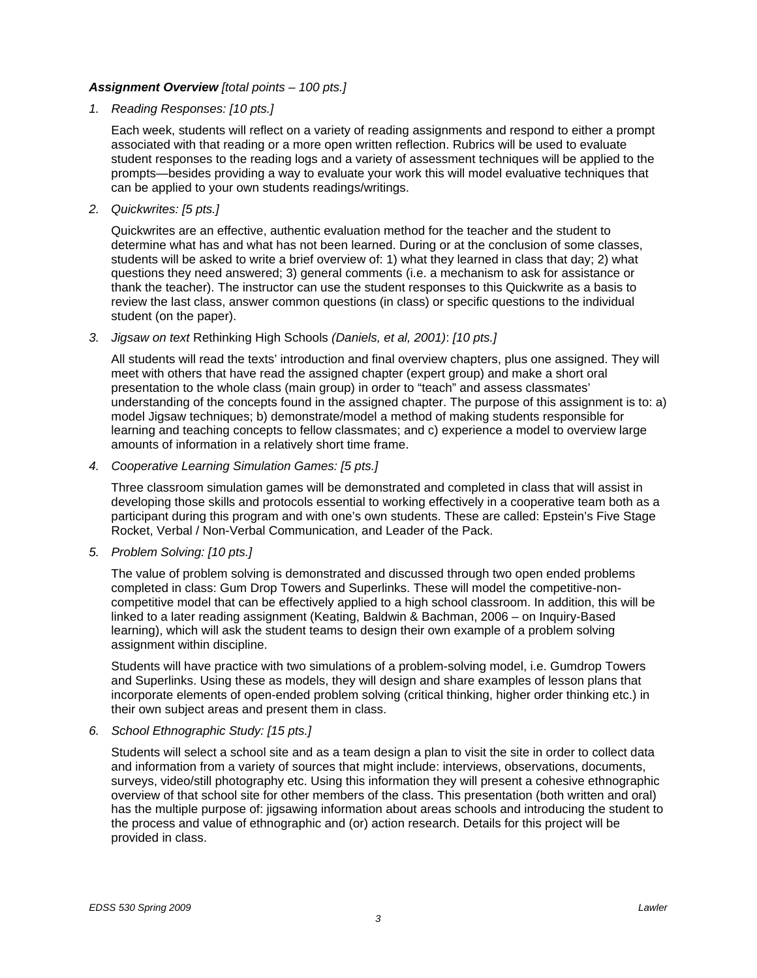# *Assignment Overview [total points – 100 pts.]*

*1. Reading Responses: [10 pts.]* 

Each week, students will reflect on a variety of reading assignments and respond to either a prompt associated with that reading or a more open written reflection. Rubrics will be used to evaluate student responses to the reading logs and a variety of assessment techniques will be applied to the prompts—besides providing a way to evaluate your work this will model evaluative techniques that can be applied to your own students readings/writings.

*2. Quickwrites: [5 pts.]* 

Quickwrites are an effective, authentic evaluation method for the teacher and the student to determine what has and what has not been learned. During or at the conclusion of some classes, students will be asked to write a brief overview of: 1) what they learned in class that day; 2) what questions they need answered; 3) general comments (i.e. a mechanism to ask for assistance or thank the teacher). The instructor can use the student responses to this Quickwrite as a basis to review the last class, answer common questions (in class) or specific questions to the individual student (on the paper).

*3. Jigsaw on text* Rethinking High Schools *(Daniels, et al, 2001)*: *[10 pts.]* 

All students will read the texts' introduction and final overview chapters, plus one assigned. They will meet with others that have read the assigned chapter (expert group) and make a short oral presentation to the whole class (main group) in order to "teach" and assess classmates' understanding of the concepts found in the assigned chapter. The purpose of this assignment is to: a) model Jigsaw techniques; b) demonstrate/model a method of making students responsible for learning and teaching concepts to fellow classmates; and c) experience a model to overview large amounts of information in a relatively short time frame.

*4. Cooperative Learning Simulation Games: [5 pts.]* 

Three classroom simulation games will be demonstrated and completed in class that will assist in developing those skills and protocols essential to working effectively in a cooperative team both as a participant during this program and with one's own students. These are called: Epstein's Five Stage Rocket, Verbal / Non-Verbal Communication, and Leader of the Pack.

*5. Problem Solving: [10 pts.]* 

The value of problem solving is demonstrated and discussed through two open ended problems completed in class: Gum Drop Towers and Superlinks. These will model the competitive-noncompetitive model that can be effectively applied to a high school classroom. In addition, this will be linked to a later reading assignment (Keating, Baldwin & Bachman, 2006 – on Inquiry-Based learning), which will ask the student teams to design their own example of a problem solving assignment within discipline.

Students will have practice with two simulations of a problem-solving model, i.e. Gumdrop Towers and Superlinks. Using these as models, they will design and share examples of lesson plans that incorporate elements of open-ended problem solving (critical thinking, higher order thinking etc.) in their own subject areas and present them in class.

*6. School Ethnographic Study: [15 pts.]* 

Students will select a school site and as a team design a plan to visit the site in order to collect data and information from a variety of sources that might include: interviews, observations, documents, surveys, video/still photography etc. Using this information they will present a cohesive ethnographic overview of that school site for other members of the class. This presentation (both written and oral) has the multiple purpose of: jigsawing information about areas schools and introducing the student to the process and value of ethnographic and (or) action research. Details for this project will be provided in class.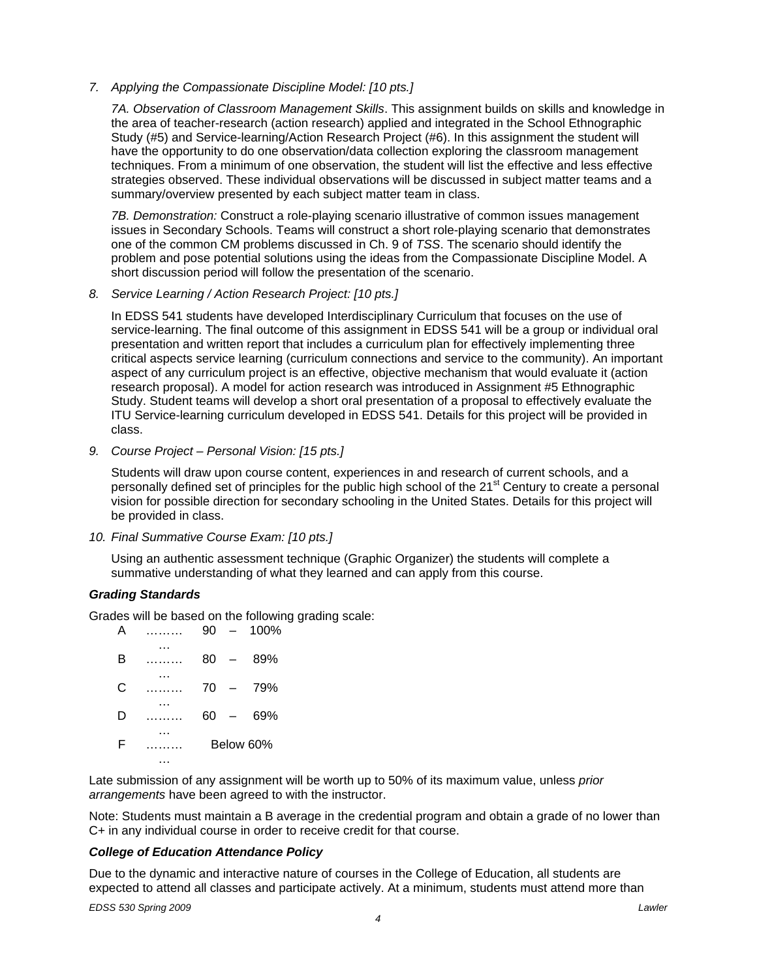# *7. Applying the Compassionate Discipline Model: [10 pts.]*

*7A. Observation of Classroom Management Skills*. This assignment builds on skills and knowledge in the area of teacher-research (action research) applied and integrated in the School Ethnographic Study (#5) and Service-learning/Action Research Project (#6). In this assignment the student will have the opportunity to do one observation/data collection exploring the classroom management techniques. From a minimum of one observation, the student will list the effective and less effective strategies observed. These individual observations will be discussed in subject matter teams and a summary/overview presented by each subject matter team in class.

*7B. Demonstration:* Construct a role-playing scenario illustrative of common issues management issues in Secondary Schools. Teams will construct a short role-playing scenario that demonstrates one of the common CM problems discussed in Ch. 9 of *TSS*. The scenario should identify the problem and pose potential solutions using the ideas from the Compassionate Discipline Model. A short discussion period will follow the presentation of the scenario.

### *8. Service Learning / Action Research Project: [10 pts.]*

In EDSS 541 students have developed Interdisciplinary Curriculum that focuses on the use of service-learning. The final outcome of this assignment in EDSS 541 will be a group or individual oral presentation and written report that includes a curriculum plan for effectively implementing three critical aspects service learning (curriculum connections and service to the community). An important aspect of any curriculum project is an effective, objective mechanism that would evaluate it (action research proposal). A model for action research was introduced in Assignment #5 Ethnographic Study. Student teams will develop a short oral presentation of a proposal to effectively evaluate the ITU Service-learning curriculum developed in EDSS 541. Details for this project will be provided in class.

# *9. Course Project – Personal Vision: [15 pts.]*

Students will draw upon course content, experiences in and research of current schools, and a personally defined set of principles for the public high school of the 21<sup>st</sup> Century to create a personal vision for possible direction for secondary schooling in the United States. Details for this project will be provided in class.

# *10. Final Summative Course Exam: [10 pts.]*

Using an authentic assessment technique (Graphic Organizer) the students will complete a summative understanding of what they learned and can apply from this course.

# *Grading Standards*

Grades will be based on the following grading scale:

| А | 90        |                          | 100% |
|---|-----------|--------------------------|------|
| в | 80        | $\overline{\phantom{0}}$ | 89%  |
| C | 70        | $\overline{\phantom{0}}$ | 79%  |
| D | 60        | $\overline{\phantom{0}}$ | 69%  |
| F | Below 60% |                          |      |
|   |           |                          |      |

Late submission of any assignment will be worth up to 50% of its maximum value, unless *prior arrangements* have been agreed to with the instructor.

Note: Students must maintain a B average in the credential program and obtain a grade of no lower than C+ in any individual course in order to receive credit for that course.

# *College of Education Attendance Policy*

Due to the dynamic and interactive nature of courses in the College of Education, all students are expected to attend all classes and participate actively. At a minimum, students must attend more than

*EDSS 530 Spring 2009 Lawler*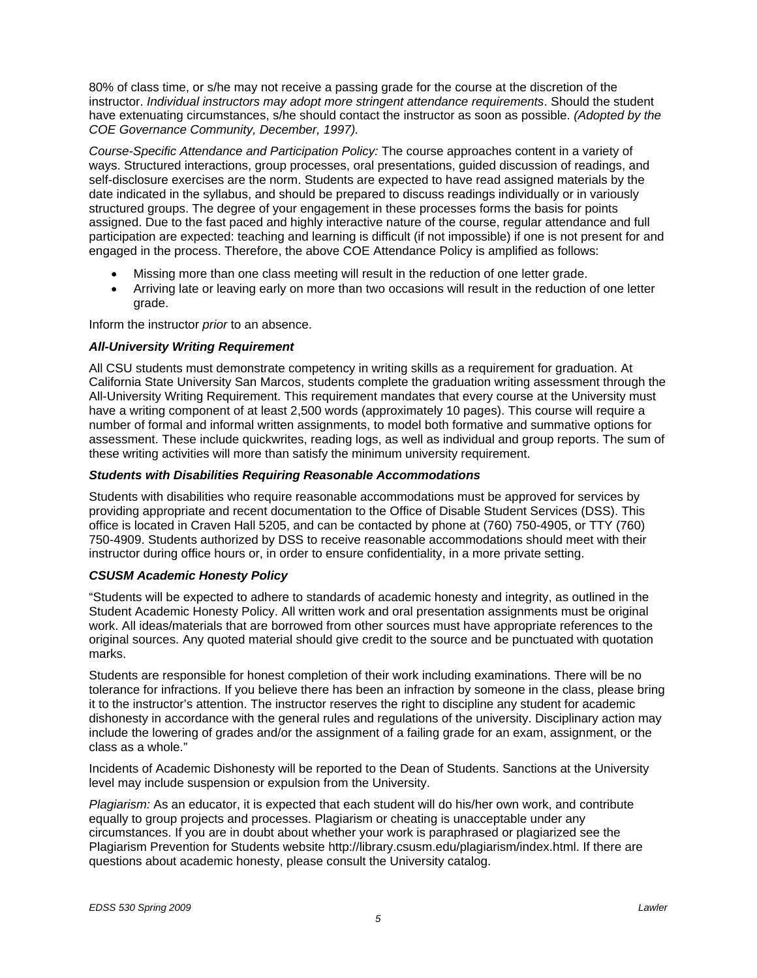*COE Governance Community, December, 1997).*  80% of class time, or s/he may not receive a passing grade for the course at the discretion of the instructor. *Individual instructors may adopt more stringent attendance requirements*. Should the student have extenuating circumstances, s/he should contact the instructor as soon as possible. *(Adopted by the* 

*Course-Specific Attendance and Participation Policy:* The course approaches content in a variety of ways. Structured interactions, group processes, oral presentations, guided discussion of readings, and self-disclosure exercises are the norm. Students are expected to have read assigned materials by the date indicated in the syllabus, and should be prepared to discuss readings individually or in variously structured groups. The degree of your engagement in these processes forms the basis for points assigned. Due to the fast paced and highly interactive nature of the course, regular attendance and full participation are expected: teaching and learning is difficult (if not impossible) if one is not present for and engaged in the process. Therefore, the above COE Attendance Policy is amplified as follows:

- Missing more than one class meeting will result in the reduction of one letter grade.
- Arriving late or leaving early on more than two occasions will result in the reduction of one letter grade.

Inform the instructor *prior* to an absence.

### *All-University Writing Requirement*

All CSU students must demonstrate competency in writing skills as a requirement for graduation. At California State University San Marcos, students complete the graduation writing assessment through the All-University Writing Requirement. This requirement mandates that every course at the University must have a writing component of at least 2,500 words (approximately 10 pages). This course will require a number of formal and informal written assignments, to model both formative and summative options for assessment. These include quickwrites, reading logs, as well as individual and group reports. The sum of these writing activities will more than satisfy the minimum university requirement.

### *Students with Disabilities Requiring Reasonable Accommodations*

Students with disabilities who require reasonable accommodations must be approved for services by providing appropriate and recent documentation to the Office of Disable Student Services (DSS). This office is located in Craven Hall 5205, and can be contacted by phone at (760) 750-4905, or TTY (760) 750-4909. Students authorized by DSS to receive reasonable accommodations should meet with their instructor during office hours or, in order to ensure confidentiality, in a more private setting.

### *CSUSM Academic Honesty Policy*

"Students will be expected to adhere to standards of academic honesty and integrity, as outlined in the Student Academic Honesty Policy. All written work and oral presentation assignments must be original work. All ideas/materials that are borrowed from other sources must have appropriate references to the original sources. Any quoted material should give credit to the source and be punctuated with quotation marks.

Students are responsible for honest completion of their work including examinations. There will be no tolerance for infractions. If you believe there has been an infraction by someone in the class, please bring it to the instructor's attention. The instructor reserves the right to discipline any student for academic dishonesty in accordance with the general rules and regulations of the university. Disciplinary action may include the lowering of grades and/or the assignment of a failing grade for an exam, assignment, or the class as a whole."

Incidents of Academic Dishonesty will be reported to the Dean of Students. Sanctions at the University level may include suspension or expulsion from the University.

*Plagiarism:* As an educator, it is expected that each student will do his/her own work, and contribute equally to group projects and processes. Plagiarism or cheating is unacceptable under any circumstances. If you are in doubt about whether your work is paraphrased or plagiarized see the Plagiarism Prevention for Students website http://library.csusm.edu/plagiarism/index.html. If there are questions about academic honesty, please consult the University catalog.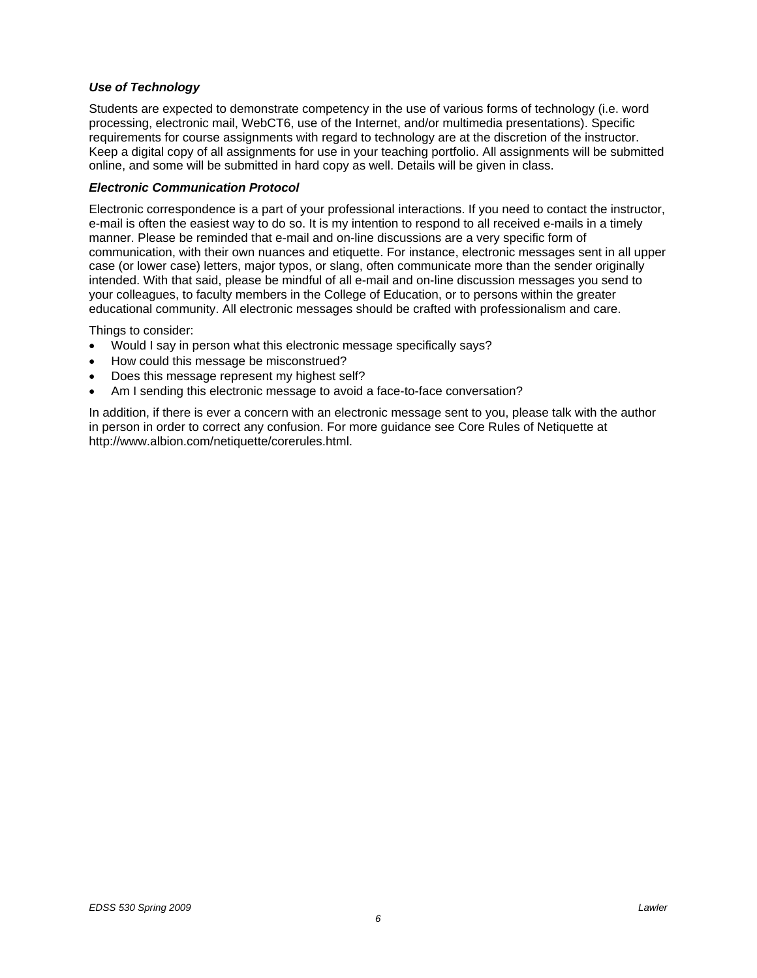# *Use of Technology*

Students are expected to demonstrate competency in the use of various forms of technology (i.e. word processing, electronic mail, WebCT6, use of the Internet, and/or multimedia presentations). Specific requirements for course assignments with regard to technology are at the discretion of the instructor. Keep a digital copy of all assignments for use in your teaching portfolio. All assignments will be submitted online, and some will be submitted in hard copy as well. Details will be given in class.

## *Electronic Communication Protocol*

Electronic correspondence is a part of your professional interactions. If you need to contact the instructor, e-mail is often the easiest way to do so. It is my intention to respond to all received e-mails in a timely manner. Please be reminded that e-mail and on-line discussions are a very specific form of communication, with their own nuances and etiquette. For instance, electronic messages sent in all upper case (or lower case) letters, major typos, or slang, often communicate more than the sender originally intended. With that said, please be mindful of all e-mail and on-line discussion messages you send to your colleagues, to faculty members in the College of Education, or to persons within the greater educational community. All electronic messages should be crafted with professionalism and care.

Things to consider:

- Would I say in person what this electronic message specifically says?
- How could this message be misconstrued?
- Does this message represent my highest self?
- Am I sending this electronic message to avoid a face-to-face conversation?

In addition, if there is ever a concern with an electronic message sent to you, please talk with the author in person in order to correct any confusion. For more guidance see Core Rules of Netiquette at http://www.albion.com/netiquette/corerules.html.